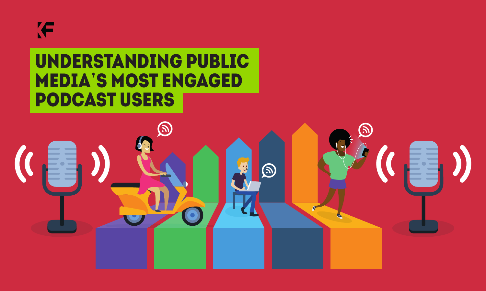## **IF**

#### UNDERSTANDING PUBLIC MEDIA'S MOST ENGAGED podcast users

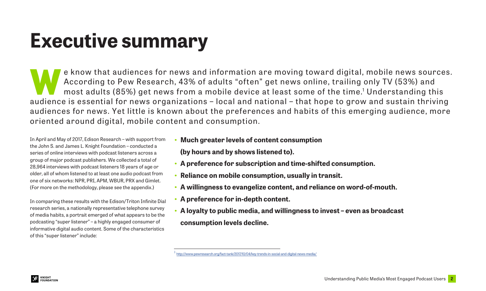### **Executive summary**

e know that audiences for news and information are moving toward digital, mobile news sources.<br>According to Pew Research, 43% of adults "often" get news online, trailing only TV (53%) and<br>most adults (85%) get news from a According to Pew Research, 43% of adults "often" get news online, trailing only TV (53%) and most adults (85%) get news from a mobile device at least some of the time. $^{\rm 1}$  Understanding this audience is essential for news organizations – local and national – that hope to grow and sustain thriving audiences for news. Yet little is known about the preferences and habits of this emerging audience, more oriented around digital, mobile content and consumption.

In April and May of 2017, Edison Research – with support from the John S. and James L. Knight Foundation – conducted a series of online interviews with podcast listeners across a group of major podcast publishers. We collected a total of 28,964 interviews with podcast listeners 18 years of age or older, all of whom listened to at least one audio podcast from one of six networks: NPR, PRI, APM, WBUR, PRX and Gimlet. (For more on the methodology, please see the appendix.)

In comparing these results with the Edison/Triton Infinite Dial research series, a nationally representative telephone survey of media habits, a portrait emerged of what appears to be the podcasting "super listener" – a highly engaged consumer of informative digital audio content. Some of the characteristics of this "super listener" include:

- **• Much greater levels of content consumption (by hours and by shows listened to).**
- **• A preference for subscription and time-shifted consumption.**
- **• Reliance on mobile consumption, usually in transit.**
- **• A willingness to evangelize content, and reliance on word-of-mouth.**
- **• A preference for in-depth content.**
- **• A loyalty to public media, and willingness to invest even as broadcast consumption levels decline.**

<sup>1</sup> <http://www.pewresearch.org/fact-tank/2017/10/04/key-trends-in-social-and-digital-news-media/>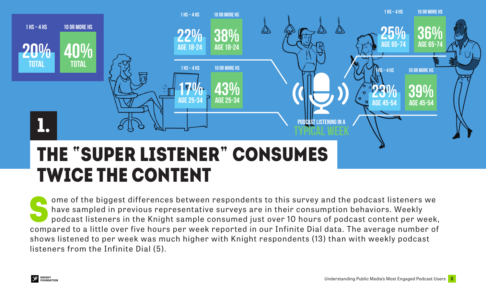

TWICE THE CONTENT

ome of the biggest differences between respondents to this survey and the podcast listeners we have sampled in previous representative surveys are in their consumption behaviors. Weekly podcast listeners in the Knight sample consumed just over 10 hours of podcast content per week, compared to a little over five hours per week reported in our Infinite Dial data. The average number of shows listened to per week was much higher with Knight respondents (13) than with weekly podcast listeners from the Infinite Dial (5).

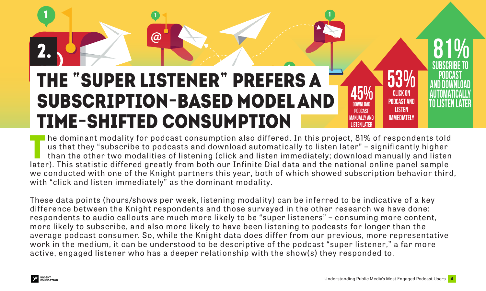#### **@** 2. <sub>)</sub><br>..... **1** THE "SUPER LISTENER" prefers a subscription-based model and time-shifted consumption

**1 <sup>1</sup>**

The dominant modality for podcast consumption also differed. In this project, 81% of respondents told<br>us that they "subscribe to podcasts and download automatically to listen later" - significantly higher<br>than the other tw us that they "subscribe to podcasts and download automatically to listen later" – significantly higher than the other two modalities of listening (click and listen immediately; download manually and listen later). This statistic differed greatly from both our Infinite Dial data and the national online panel sample we conducted with one of the Knight partners this year, both of which showed subscription behavior third, with "click and listen immediately" as the dominant modality.

**@ @**

**1**

**DOWNI OAD Podcast manually and listen later**

**45% Click on Podcast and Listen immediately**

**53%**

These data points (hours/shows per week, listening modality) can be inferred to be indicative of a key difference between the Knight respondents and those surveyed in the other research we have done: respondents to audio callouts are much more likely to be "super listeners" – consuming more content, more likely to subscribe, and also more likely to have been listening to podcasts for longer than the average podcast consumer. So, while the Knight data does differ from our previous, more representative work in the medium, it can be understood to be descriptive of the podcast "super listener," a far more active, engaged listener who has a deeper relationship with the show(s) they responded to.



2.

**Subscribe to podcast and download automatically to listen later**

**81%**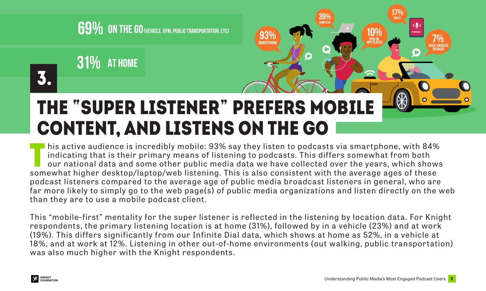

**31% At home**

### THE "SUPER LISTENER" prefers mobile content, and listens on the go

I his active audience is incredibly mobile: 93% say they listen to podcasts via smartphone, with 84% indicating that is their primary means of listening to podcasts. This differs somewhat from both our national data and some other public media data we have collected over the years, which shows somewhat higher desktop/laptop/web listening. This is also consistent with the average ages of these podcast listeners compared to the average age of public media broadcast listeners in general, who are far more likely to simply go to the web page(s) of public media organizations and listen directly on the web than they are to use a mobile podcast client.

**93% smartphone** **39% COMPUTER**

This "mobile-first" mentality for the super listener is reflected in the listening by location data. For Knight respondents, the primary listening location is at home (31%), followed by in a vehicle (23%) and at work (19%). This differs significantly from our Infinite Dial data, which shows at home as 52%, in a vehicle at 18%, and at work at 12%. Listening in other out-of-home environments (out walking, public transportation) was also much higher with the Knight respondents.



3.

**17% tablet**

**mp3 player 7%** 

**VOICE-enableD speaker**

 $\bullet$ 

**10% ipod OR**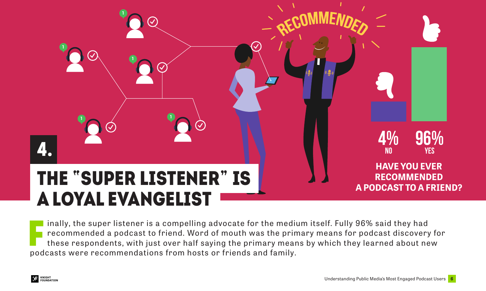

I inally, the super listener is a compelling advocate for the medi<br>recommended a podcast to friend. Word of mouth was the prir<br>these respondents, with just over half saying the primary mean<br>podcasts were recommendations fr inally, the super listener is a compelling advocate for the medium itself. Fully 96% said they had recommended a podcast to friend. Word of mouth was the primary means for podcast discovery for these respondents, with just over half saying the primary means by which they learned about new

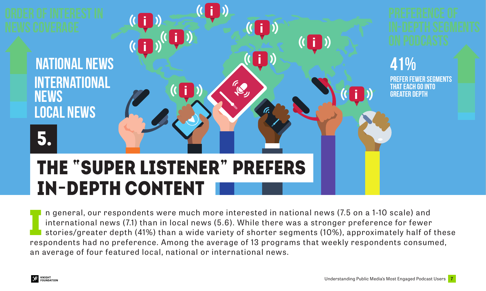

In general, our respondents were much more interested in national news (7.5 on a 1-10 scale) and<br>international news (7.1) than in local news (5.6). While there was a stronger preference for fewer<br>stories/greater depth (41% n general, our respondents were much more interested in national news (7.5 on a 1-10 scale) and international news (7.1) than in local news (5.6). While there was a stronger preference for fewer stories/greater depth (41%) than a wide variety of shorter segments (10%), approximately half of these an average of four featured local, national or international news.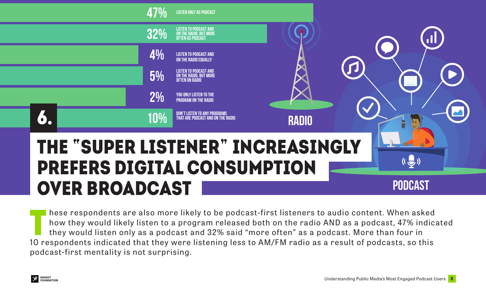

These respondents are also more likely to be podcast-first listeners to audio content. When asked<br>how they would likely listen to a program released both on the radio AND as a podcast, 47% indic<br>they would listen only as a how they would likely listen to a program released both on the radio AND as a podcast, 47% indicated they would listen only as a podcast and 32% said "more often" as a podcast. More than four in 10 respondents indicated that they were listening less to AM/FM radio as a result of podcasts, so this podcast-first mentality is not surprising.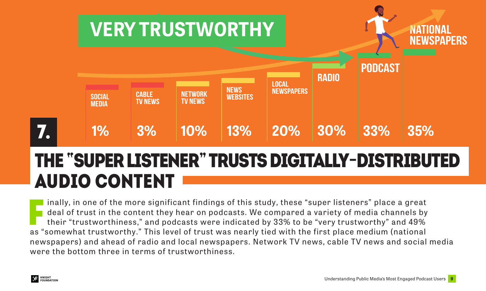

#### THE "SUPER LISTENER" trusts digitally-distributed audio content

Finally, in one of the more significant findings of this study, these "super listeners" place a great<br>deal of trust in the content they hear on podcasts. We compared a variety of media channels by<br>their "trustworthiness," inally, in one of the more significant findings of this study, these "super listeners" place a great deal of trust in the content they hear on podcasts. We compared a variety of media channels by their "trustworthiness," and podcasts were indicated by 33% to be "very trustworthy" and 49% newspapers) and ahead of radio and local newspapers. Network TV news, cable TV news and social media were the bottom three in terms of trustworthiness.

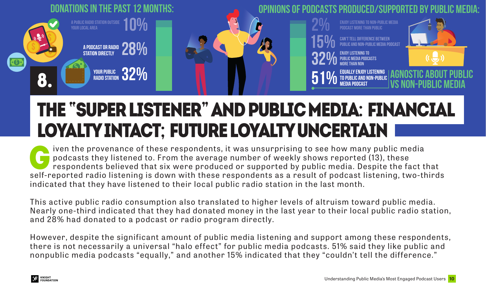

#### THE "SUPER LISTENER" and public media: Financial loyalty intact; future loyalty uncertain

iven the provenance of these respondents, it was unsurprising to see how many public media podcasts they listened to. From the average number of weekly shows reported (13), these respondents believed that six were produced or supported by public media. Despite the fact that self-reported radio listening is down with these respondents as a result of podcast listening, two-thirds indicated that they have listened to their local public radio station in the last month.

This active public radio consumption also translated to higher levels of altruism toward public media. Nearly one-third indicated that they had donated money in the last year to their local public radio station, and 28% had donated to a podcast or radio program directly.

However, despite the significant amount of public media listening and support among these respondents, there is not necessarily a universal "halo effect" for public media podcasts. 51% said they like public and nonpublic media podcasts "equally," and another 15% indicated that they "couldn't tell the difference."

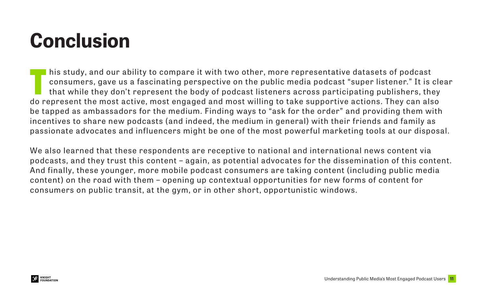# **Conclusion**

This study, and our ability to compare it with two other, more representative datasets of podcast<br>consumers, gave us a fascinating perspective on the public media podcast "super listener." It is<br>that while they don't repre consumers, gave us a fascinating perspective on the public media podcast "super listener." It is clear that while they don't represent the body of podcast listeners across participating publishers, they do represent the most active, most engaged and most willing to take supportive actions. They can also be tapped as ambassadors for the medium. Finding ways to "ask for the order" and providing them with incentives to share new podcasts (and indeed, the medium in general) with their friends and family as passionate advocates and influencers might be one of the most powerful marketing tools at our disposal.

We also learned that these respondents are receptive to national and international news content via podcasts, and they trust this content – again, as potential advocates for the dissemination of this content. And finally, these younger, more mobile podcast consumers are taking content (including public media content) on the road with them – opening up contextual opportunities for new forms of content for consumers on public transit, at the gym, or in other short, opportunistic windows.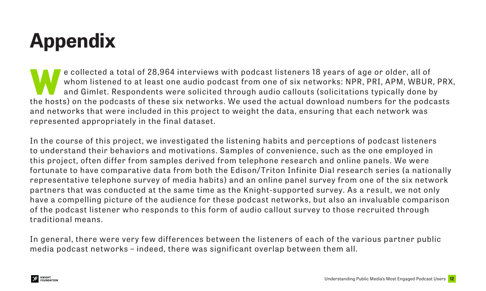# **Appendix**

e collected a total of 28,964 interviews with podcast listeners 18 years of age or older, all of<br>whom listened to at least one audio podcast from one of six networks: NPR, PRI, APM, WBUR<br>and Gimlet. Respondents were solici whom listened to at least one audio podcast from one of six networks: NPR, PRI, APM, WBUR, PRX, and Gimlet. Respondents were solicited through audio callouts (solicitations typically done by the hosts) on the podcasts of these six networks. We used the actual download numbers for the podcasts and networks that were included in this project to weight the data, ensuring that each network was represented appropriately in the final dataset.

In the course of this project, we investigated the listening habits and perceptions of podcast listeners to understand their behaviors and motivations. Samples of convenience, such as the one employed in this project, often differ from samples derived from telephone research and online panels. We were fortunate to have comparative data from both the Edison/ Triton Infinite Dial research series (a nationally representative telephone survey of media habits) and an online panel survey from one of the six network partners that was conducted at the same time as the Knight-supported survey. As a result, we not only have a compelling picture of the audience for these podcast networks, but also an invaluable comparison of the podcast listener who responds to this form of audio callout survey to those recruited through traditional means.

In general, there were very few differences between the listeners of each of the various partner public media podcast networks – indeed, there was significant overlap between them all.